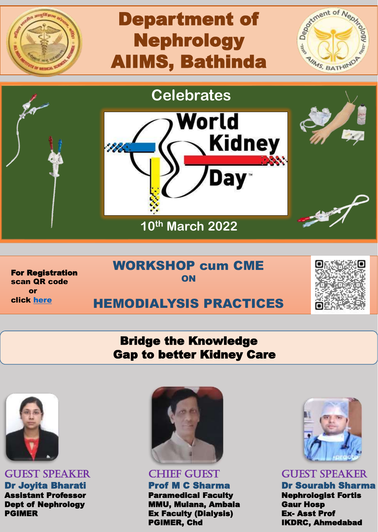# Department of Nephrology AIIMS, Bathinda





WORKSHOP cum CME ON

scan QR code

## HEMODIALYSIS PRACTICES

#### Bridge the Knowledge Gap to better Kidney Care



For Registration

a sugfil ma

or click [here](https://forms.gle/9NNdkmaKKQijZ6YVA)

GUEST SPEAKER Dr Joyita Bharati Assistant Professor Dept of Nephrology PGIMER



CHIEF GUEST Prof M C Sharma Paramedical Faculty MMU, Mulana, Ambala Ex Faculty (Dialysis) PGIMER, Chd



GUEST SPEAKER Dr Sourabh Sharma

Nephrologist Fortis Gaur Hosp Ex- Asst Prof IKDRC, Ahmedabad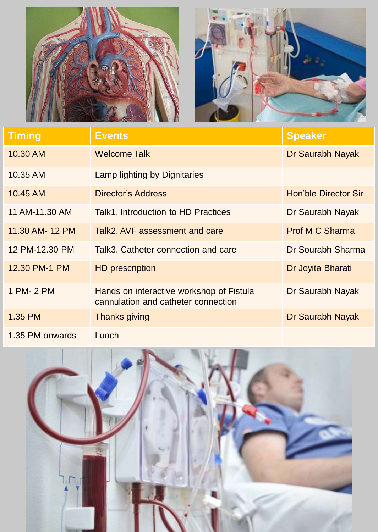



| <b>Timing</b>   | <b>Events</b>                                                                   | <b>Speaker</b>              |
|-----------------|---------------------------------------------------------------------------------|-----------------------------|
| 10.30 AM        | <b>Welcome Talk</b>                                                             | Dr Saurabh Nayak            |
| 10.35 AM        | Lamp lighting by Dignitaries                                                    |                             |
| 10.45 AM        | <b>Director's Address</b>                                                       | <b>Hon'ble Director Sir</b> |
| 11 AM-11.30 AM  | Talk1. Introduction to HD Practices                                             | Dr Saurabh Nayak            |
| 11.30 AM- 12 PM | Talk2. AVF assessment and care                                                  | <b>Prof M C Sharma</b>      |
| 12 PM-12.30 PM  | Talk3. Catheter connection and care                                             | Dr Sourabh Sharma           |
| 12.30 PM-1 PM   | <b>HD</b> prescription                                                          | Dr Joyita Bharati           |
| 1 PM- 2 PM      | Hands on interactive workshop of Fistula<br>cannulation and catheter connection | Dr Saurabh Nayak            |
| 1.35 PM         | Thanks giving                                                                   | Dr Saurabh Nayak            |
| 1.35 PM onwards | Lunch                                                                           |                             |